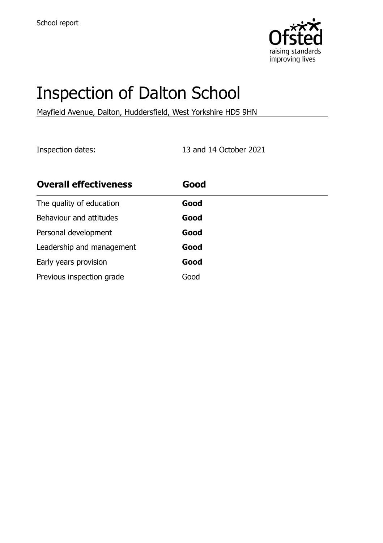

# Inspection of Dalton School

Mayfield Avenue, Dalton, Huddersfield, West Yorkshire HD5 9HN

Inspection dates: 13 and 14 October 2021

| <b>Overall effectiveness</b> | Good |
|------------------------------|------|
| The quality of education     | Good |
| Behaviour and attitudes      | Good |
| Personal development         | Good |
| Leadership and management    | Good |
| Early years provision        | Good |
| Previous inspection grade    | Good |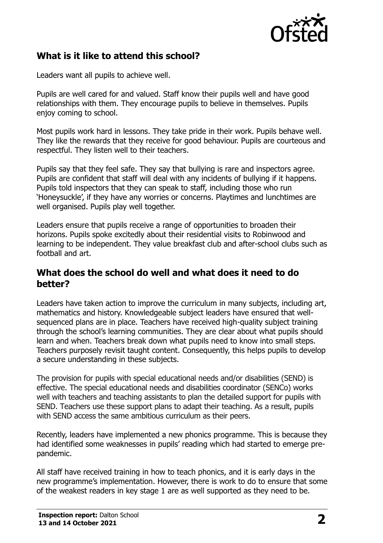

# **What is it like to attend this school?**

Leaders want all pupils to achieve well.

Pupils are well cared for and valued. Staff know their pupils well and have good relationships with them. They encourage pupils to believe in themselves. Pupils enjoy coming to school.

Most pupils work hard in lessons. They take pride in their work. Pupils behave well. They like the rewards that they receive for good behaviour. Pupils are courteous and respectful. They listen well to their teachers.

Pupils say that they feel safe. They say that bullying is rare and inspectors agree. Pupils are confident that staff will deal with any incidents of bullying if it happens. Pupils told inspectors that they can speak to staff, including those who run 'Honeysuckle', if they have any worries or concerns. Playtimes and lunchtimes are well organised. Pupils play well together.

Leaders ensure that pupils receive a range of opportunities to broaden their horizons. Pupils spoke excitedly about their residential visits to Robinwood and learning to be independent. They value breakfast club and after-school clubs such as football and art.

#### **What does the school do well and what does it need to do better?**

Leaders have taken action to improve the curriculum in many subjects, including art, mathematics and history. Knowledgeable subject leaders have ensured that wellsequenced plans are in place. Teachers have received high-quality subject training through the school's learning communities. They are clear about what pupils should learn and when. Teachers break down what pupils need to know into small steps. Teachers purposely revisit taught content. Consequently, this helps pupils to develop a secure understanding in these subjects.

The provision for pupils with special educational needs and/or disabilities (SEND) is effective. The special educational needs and disabilities coordinator (SENCo) works well with teachers and teaching assistants to plan the detailed support for pupils with SEND. Teachers use these support plans to adapt their teaching. As a result, pupils with SEND access the same ambitious curriculum as their peers.

Recently, leaders have implemented a new phonics programme. This is because they had identified some weaknesses in pupils' reading which had started to emerge prepandemic.

All staff have received training in how to teach phonics, and it is early days in the new programme's implementation. However, there is work to do to ensure that some of the weakest readers in key stage 1 are as well supported as they need to be.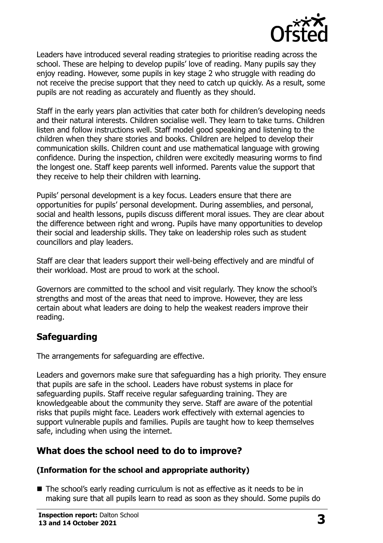

Leaders have introduced several reading strategies to prioritise reading across the school. These are helping to develop pupils' love of reading. Many pupils say they enjoy reading. However, some pupils in key stage 2 who struggle with reading do not receive the precise support that they need to catch up quickly. As a result, some pupils are not reading as accurately and fluently as they should.

Staff in the early years plan activities that cater both for children's developing needs and their natural interests. Children socialise well. They learn to take turns. Children listen and follow instructions well. Staff model good speaking and listening to the children when they share stories and books. Children are helped to develop their communication skills. Children count and use mathematical language with growing confidence. During the inspection, children were excitedly measuring worms to find the longest one. Staff keep parents well informed. Parents value the support that they receive to help their children with learning.

Pupils' personal development is a key focus. Leaders ensure that there are opportunities for pupils' personal development. During assemblies, and personal, social and health lessons, pupils discuss different moral issues. They are clear about the difference between right and wrong. Pupils have many opportunities to develop their social and leadership skills. They take on leadership roles such as student councillors and play leaders.

Staff are clear that leaders support their well-being effectively and are mindful of their workload. Most are proud to work at the school.

Governors are committed to the school and visit regularly. They know the school's strengths and most of the areas that need to improve. However, they are less certain about what leaders are doing to help the weakest readers improve their reading.

# **Safeguarding**

The arrangements for safeguarding are effective.

Leaders and governors make sure that safeguarding has a high priority. They ensure that pupils are safe in the school. Leaders have robust systems in place for safeguarding pupils. Staff receive regular safeguarding training. They are knowledgeable about the community they serve. Staff are aware of the potential risks that pupils might face. Leaders work effectively with external agencies to support vulnerable pupils and families. Pupils are taught how to keep themselves safe, including when using the internet.

# **What does the school need to do to improve?**

#### **(Information for the school and appropriate authority)**

■ The school's early reading curriculum is not as effective as it needs to be in making sure that all pupils learn to read as soon as they should. Some pupils do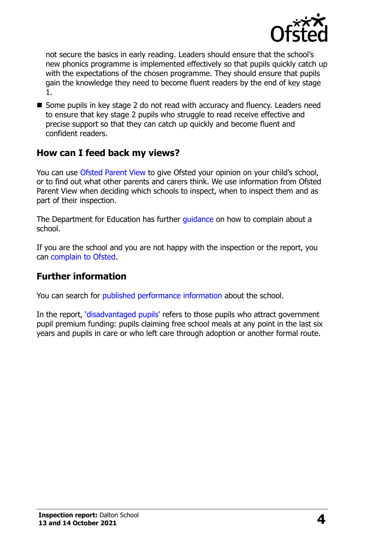

not secure the basics in early reading. Leaders should ensure that the school's new phonics programme is implemented effectively so that pupils quickly catch up with the expectations of the chosen programme. They should ensure that pupils gain the knowledge they need to become fluent readers by the end of key stage 1.

■ Some pupils in key stage 2 do not read with accuracy and fluency. Leaders need to ensure that key stage 2 pupils who struggle to read receive effective and precise support so that they can catch up quickly and become fluent and confident readers.

## **How can I feed back my views?**

You can use [Ofsted Parent View](http://parentview.ofsted.gov.uk/) to give Ofsted your opinion on your child's school, or to find out what other parents and carers think. We use information from Ofsted Parent View when deciding which schools to inspect, when to inspect them and as part of their inspection.

The Department for Education has further quidance on how to complain about a school.

If you are the school and you are not happy with the inspection or the report, you can [complain to Ofsted.](http://www.gov.uk/complain-ofsted-report)

### **Further information**

You can search for [published performance information](http://www.compare-school-performance.service.gov.uk/) about the school.

In the report, '[disadvantaged pupils](http://www.gov.uk/guidance/pupil-premium-information-for-schools-and-alternative-provision-settings)' refers to those pupils who attract government pupil premium funding: pupils claiming free school meals at any point in the last six years and pupils in care or who left care through adoption or another formal route.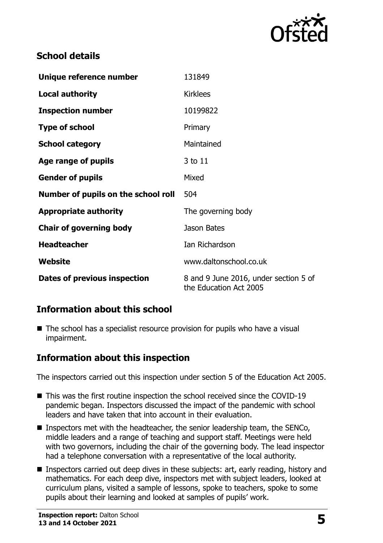

# **School details**

| Unique reference number             | 131849                                                          |
|-------------------------------------|-----------------------------------------------------------------|
| <b>Local authority</b>              | <b>Kirklees</b>                                                 |
| <b>Inspection number</b>            | 10199822                                                        |
| <b>Type of school</b>               | Primary                                                         |
| <b>School category</b>              | Maintained                                                      |
| Age range of pupils                 | 3 to 11                                                         |
| <b>Gender of pupils</b>             | Mixed                                                           |
| Number of pupils on the school roll | 504                                                             |
| <b>Appropriate authority</b>        | The governing body                                              |
| <b>Chair of governing body</b>      | Jason Bates                                                     |
| <b>Headteacher</b>                  | Ian Richardson                                                  |
| Website                             | www.daltonschool.co.uk                                          |
| Dates of previous inspection        | 8 and 9 June 2016, under section 5 of<br>the Education Act 2005 |

# **Information about this school**

■ The school has a specialist resource provision for pupils who have a visual impairment.

# **Information about this inspection**

The inspectors carried out this inspection under section 5 of the Education Act 2005.

- This was the first routine inspection the school received since the COVID-19 pandemic began. Inspectors discussed the impact of the pandemic with school leaders and have taken that into account in their evaluation.
- **Inspectors met with the headteacher, the senior leadership team, the SENCo,** middle leaders and a range of teaching and support staff. Meetings were held with two governors, including the chair of the governing body. The lead inspector had a telephone conversation with a representative of the local authority.
- Inspectors carried out deep dives in these subjects: art, early reading, history and mathematics. For each deep dive, inspectors met with subject leaders, looked at curriculum plans, visited a sample of lessons, spoke to teachers, spoke to some pupils about their learning and looked at samples of pupils' work.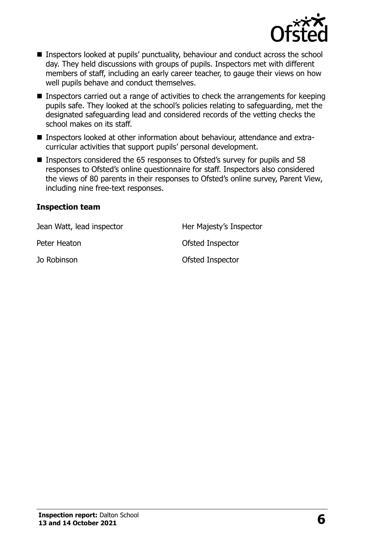

- Inspectors looked at pupils' punctuality, behaviour and conduct across the school day. They held discussions with groups of pupils. Inspectors met with different members of staff, including an early career teacher, to gauge their views on how well pupils behave and conduct themselves.
- **Inspectors carried out a range of activities to check the arrangements for keeping** pupils safe. They looked at the school's policies relating to safeguarding, met the designated safeguarding lead and considered records of the vetting checks the school makes on its staff.
- Inspectors looked at other information about behaviour, attendance and extracurricular activities that support pupils' personal development.
- Inspectors considered the 65 responses to Ofsted's survey for pupils and 58 responses to Ofsted's online questionnaire for staff. Inspectors also considered the views of 80 parents in their responses to Ofsted's online survey, Parent View, including nine free-text responses.

#### **Inspection team**

| Jean Watt, lead inspector | Her Majesty's Inspector |
|---------------------------|-------------------------|
| Peter Heaton              | Ofsted Inspector        |
| Jo Robinson               | Ofsted Inspector        |